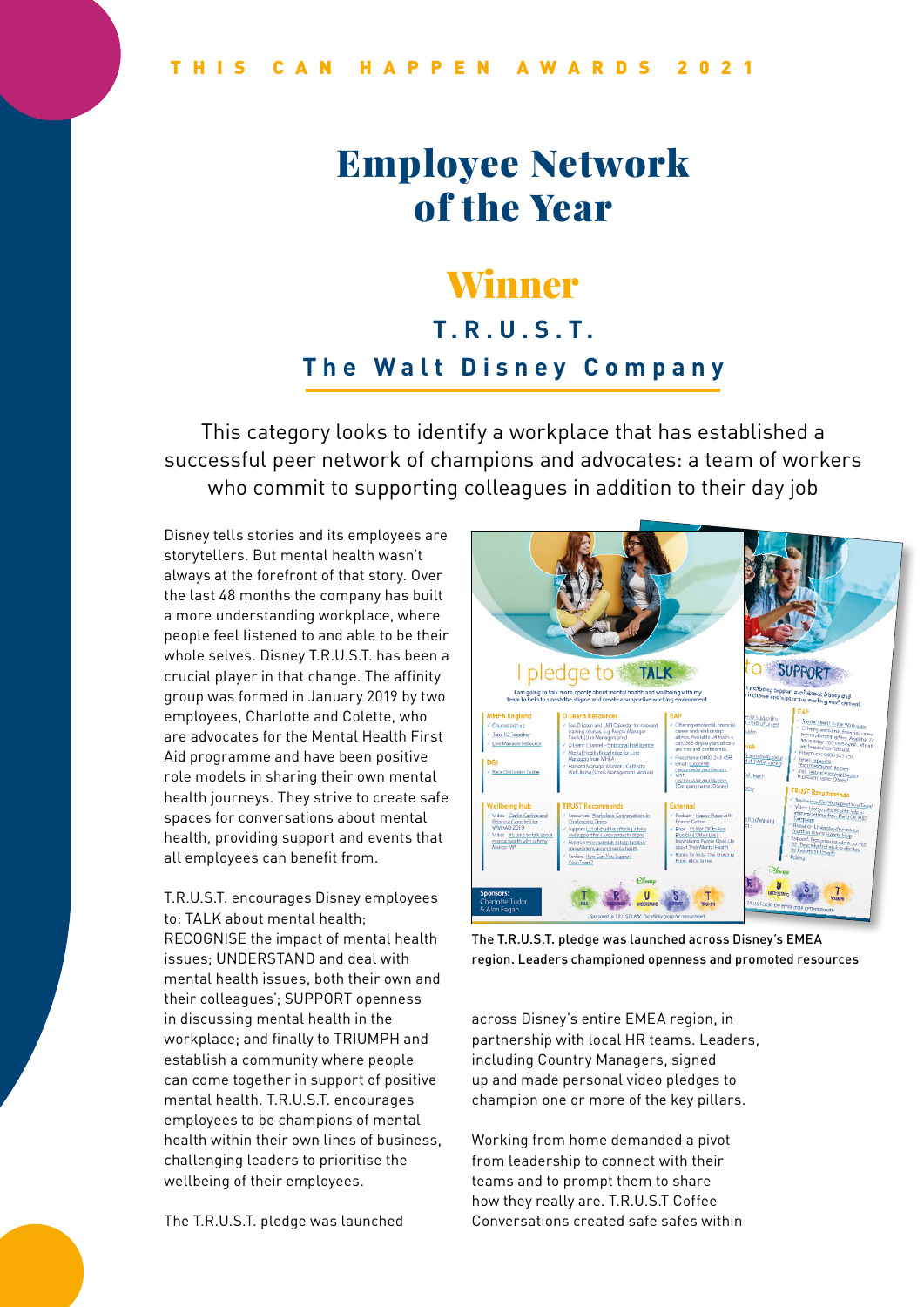# Employee Network of the Year

### Winner

### **T.R.U.S.T. The Walt Disney Company**

This category looks to identify a workplace that has established a successful peer network of champions and advocates: a team of workers who commit to supporting colleagues in addition to their day job

Disney tells stories and its employees are storytellers. But mental health wasn't always at the forefront of that story. Over the last 48 months the company has built a more understanding workplace, where people feel listened to and able to be their whole selves. Disney T.R.U.S.T. has been a crucial player in that change. The affinity group was formed in January 2019 by two employees, Charlotte and Colette, who are advocates for the Mental Health First Aid programme and have been positive role models in sharing their own mental health journeys. They strive to create safe spaces for conversations about mental health, providing support and events that all employees can benefit from.

T.R.U.S.T. encourages Disney employees to: TALK about mental health; RECOGNISE the impact of mental health issues; UNDERSTAND and deal with mental health issues, both their own and their colleagues'; SUPPORT openness in discussing mental health in the workplace; and finally to TRIUMPH and establish a community where people can come together in support of positive mental health. T.R.U.S.T. encourages employees to be champions of mental health within their own lines of business, challenging leaders to prioritise the wellbeing of their employees.

The T.R.U.S.T. pledge was launched



The T.R.U.S.T. pledge was launched across Disney's EMEA region. Leaders championed openness and promoted resources

across Disney's entire EMEA region, in partnership with local HR teams. Leaders, including Country Managers, signed up and made personal video pledges to champion one or more of the key pillars.

Working from home demanded a pivot from leadership to connect with their teams and to prompt them to share how they really are. T.R.U.S.T Coffee Conversations created safe safes within